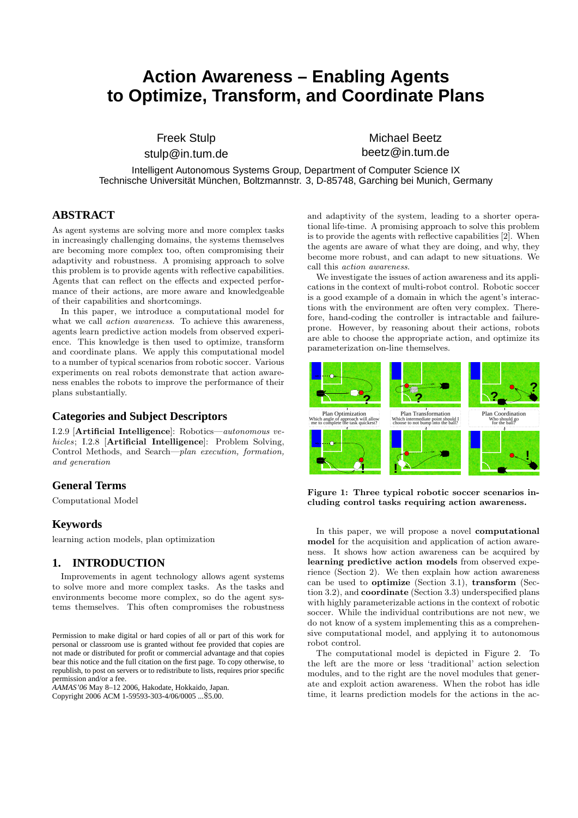# **Action Awareness – Enabling Agents to Optimize, Transform, and Coordinate Plans**

Freek Stulp

stulp@in.tum.de

Michael Beetz beetz@in.tum.de

Intelligent Autonomous Systems Group, Department of Computer Science IX Technische Universität München, Boltzmannstr. 3, D-85748, Garching bei Munich, Germany

# **ABSTRACT**

As agent systems are solving more and more complex tasks in increasingly challenging domains, the systems themselves are becoming more complex too, often compromising their adaptivity and robustness. A promising approach to solve this problem is to provide agents with reflective capabilities. Agents that can reflect on the effects and expected performance of their actions, are more aware and knowledgeable of their capabilities and shortcomings.

In this paper, we introduce a computational model for what we call *action awareness*. To achieve this awareness, agents learn predictive action models from observed experience. This knowledge is then used to optimize, transform and coordinate plans. We apply this computational model to a number of typical scenarios from robotic soccer. Various experiments on real robots demonstrate that action awareness enables the robots to improve the performance of their plans substantially.

# **Categories and Subject Descriptors**

I.2.9 [Artificial Intelligence]: Robotics—autonomous vehicles; I.2.8 [Artificial Intelligence]: Problem Solving, Control Methods, and Search—plan execution, formation, and generation

# **General Terms**

Computational Model

# **Keywords**

learning action models, plan optimization

# **1. INTRODUCTION**

Improvements in agent technology allows agent systems to solve more and more complex tasks. As the tasks and environments become more complex, so do the agent systems themselves. This often compromises the robustness

Permission to make digital or hard copies of all or part of this work for personal or classroom use is granted without fee provided that copies are not made or distributed for profit or commercial advantage and that copies bear this notice and the full citation on the first page. To copy otherwise, to republish, to post on servers or to redistribute to lists, requires prior specific permission and/or a fee.

*AAMAS'06* May 8–12 2006, Hakodate, Hokkaido, Japan. Copyright 2006 ACM 1-59593-303-4/06/0005 ...\$5.00.

and adaptivity of the system, leading to a shorter operational life-time. A promising approach to solve this problem is to provide the agents with reflective capabilities [2]. When the agents are aware of what they are doing, and why, they become more robust, and can adapt to new situations. We call this action awareness.

We investigate the issues of action awareness and its applications in the context of multi-robot control. Robotic soccer is a good example of a domain in which the agent's interactions with the environment are often very complex. Therefore, hand-coding the controller is intractable and failureprone. However, by reasoning about their actions, robots are able to choose the appropriate action, and optimize its parameterization on-line themselves.



Figure 1: Three typical robotic soccer scenarios including control tasks requiring action awareness.

In this paper, we will propose a novel computational model for the acquisition and application of action awareness. It shows how action awareness can be acquired by learning predictive action models from observed experience (Section 2). We then explain how action awareness can be used to optimize (Section 3.1), transform (Section 3.2), and coordinate (Section 3.3) underspecified plans with highly parameterizable actions in the context of robotic soccer. While the individual contributions are not new, we do not know of a system implementing this as a comprehensive computational model, and applying it to autonomous robot control.

The computational model is depicted in Figure 2. To the left are the more or less 'traditional' action selection modules, and to the right are the novel modules that generate and exploit action awareness. When the robot has idle time, it learns prediction models for the actions in the ac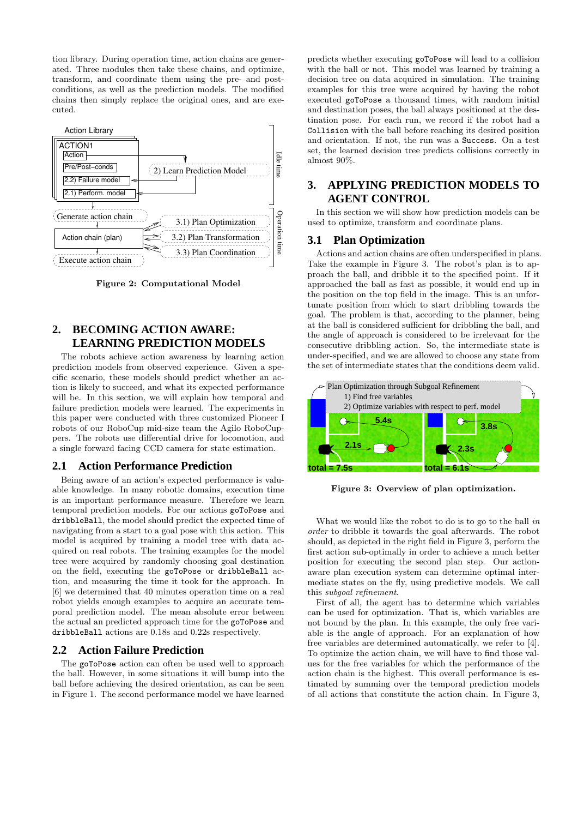tion library. During operation time, action chains are generated. Three modules then take these chains, and optimize, transform, and coordinate them using the pre- and postconditions, as well as the prediction models. The modified chains then simply replace the original ones, and are executed.



Figure 2: Computational Model

# **2. BECOMING ACTION AWARE: LEARNING PREDICTION MODELS**

The robots achieve action awareness by learning action prediction models from observed experience. Given a specific scenario, these models should predict whether an action is likely to succeed, and what its expected performance will be. In this section, we will explain how temporal and failure prediction models were learned. The experiments in this paper were conducted with three customized Pioneer I robots of our RoboCup mid-size team the Agilo RoboCuppers. The robots use differential drive for locomotion, and a single forward facing CCD camera for state estimation.

### **2.1 Action Performance Prediction**

Being aware of an action's expected performance is valuable knowledge. In many robotic domains, execution time is an important performance measure. Therefore we learn temporal prediction models. For our actions goToPose and dribbleBall, the model should predict the expected time of navigating from a start to a goal pose with this action. This model is acquired by training a model tree with data acquired on real robots. The training examples for the model tree were acquired by randomly choosing goal destination on the field, executing the goToPose or dribbleBall action, and measuring the time it took for the approach. In [6] we determined that 40 minutes operation time on a real robot yields enough examples to acquire an accurate temporal prediction model. The mean absolute error between the actual an predicted approach time for the goToPose and dribbleBall actions are 0.18s and 0.22s respectively.

#### **2.2 Action Failure Prediction**

The goToPose action can often be used well to approach the ball. However, in some situations it will bump into the ball before achieving the desired orientation, as can be seen in Figure 1. The second performance model we have learned

predicts whether executing goToPose will lead to a collision with the ball or not. This model was learned by training a decision tree on data acquired in simulation. The training examples for this tree were acquired by having the robot executed goToPose a thousand times, with random initial and destination poses, the ball always positioned at the destination pose. For each run, we record if the robot had a Collision with the ball before reaching its desired position and orientation. If not, the run was a Success. On a test set, the learned decision tree predicts collisions correctly in almost 90%.

# **3. APPLYING PREDICTION MODELS TO AGENT CONTROL**

In this section we will show how prediction models can be used to optimize, transform and coordinate plans.

#### **3.1 Plan Optimization**

Actions and action chains are often underspecified in plans. Take the example in Figure 3. The robot's plan is to approach the ball, and dribble it to the specified point. If it approached the ball as fast as possible, it would end up in the position on the top field in the image. This is an unfortunate position from which to start dribbling towards the goal. The problem is that, according to the planner, being at the ball is considered sufficient for dribbling the ball, and the angle of approach is considered to be irrelevant for the consecutive dribbling action. So, the intermediate state is under-specified, and we are allowed to choose any state from the set of intermediate states that the conditions deem valid.



Figure 3: Overview of plan optimization.

What we would like the robot to do is to go to the ball in order to dribble it towards the goal afterwards. The robot should, as depicted in the right field in Figure 3, perform the first action sub-optimally in order to achieve a much better position for executing the second plan step. Our actionaware plan execution system can determine optimal intermediate states on the fly, using predictive models. We call this *subgoal* refinement.

First of all, the agent has to determine which variables can be used for optimization. That is, which variables are not bound by the plan. In this example, the only free variable is the angle of approach. For an explanation of how free variables are determined automatically, we refer to [4]. To optimize the action chain, we will have to find those values for the free variables for which the performance of the action chain is the highest. This overall performance is estimated by summing over the temporal prediction models of all actions that constitute the action chain. In Figure 3,